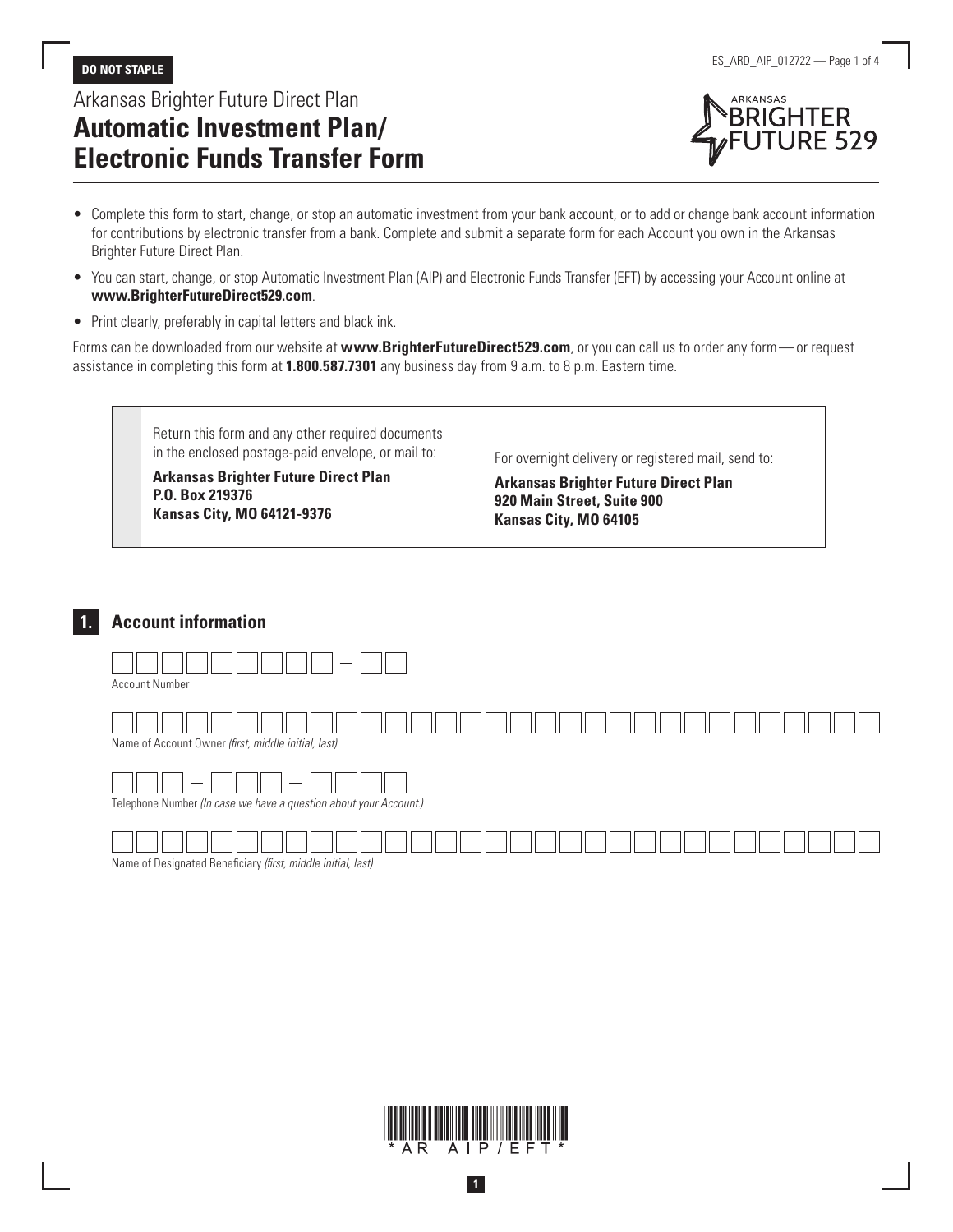# Arkansas Brighter Future Direct Plan **Automatic Investment Plan/ Electronic Funds Transfer Form**



- Complete this form to start, change, or stop an automatic investment from your bank account, or to add or change bank account information for contributions by electronic transfer from a bank. Complete and submit a separate form for each Account you own in the Arkansas Brighter Future Direct Plan.
- You can start, change, or stop Automatic Investment Plan (AIP) and Electronic Funds Transfer (EFT) by accessing your Account online at **www.BrighterFutureDirect529.com**.
- Print clearly, preferably in capital letters and black ink.

Forms can be downloaded from our website at **www.BrighterFutureDirect529.com**, or you can call us to order any form—or request assistance in completing this form at **1.800.587.7301** any business day from 9 a.m. to 8 p.m. Eastern time.

> Return this form and any other required documents in the enclosed postage-paid envelope, or mail to:

**Arkansas Brighter Future Direct Plan P.O. Box 219376 Kansas City, MO 64121-9376**

For overnight delivery or registered mail, send to:

**Arkansas Brighter Future Direct Plan 920 Main Street, Suite 900 Kansas City, MO 64105**

## **1. Account information**



Name of Designated Beneficiary *(first, middle initial, last)*

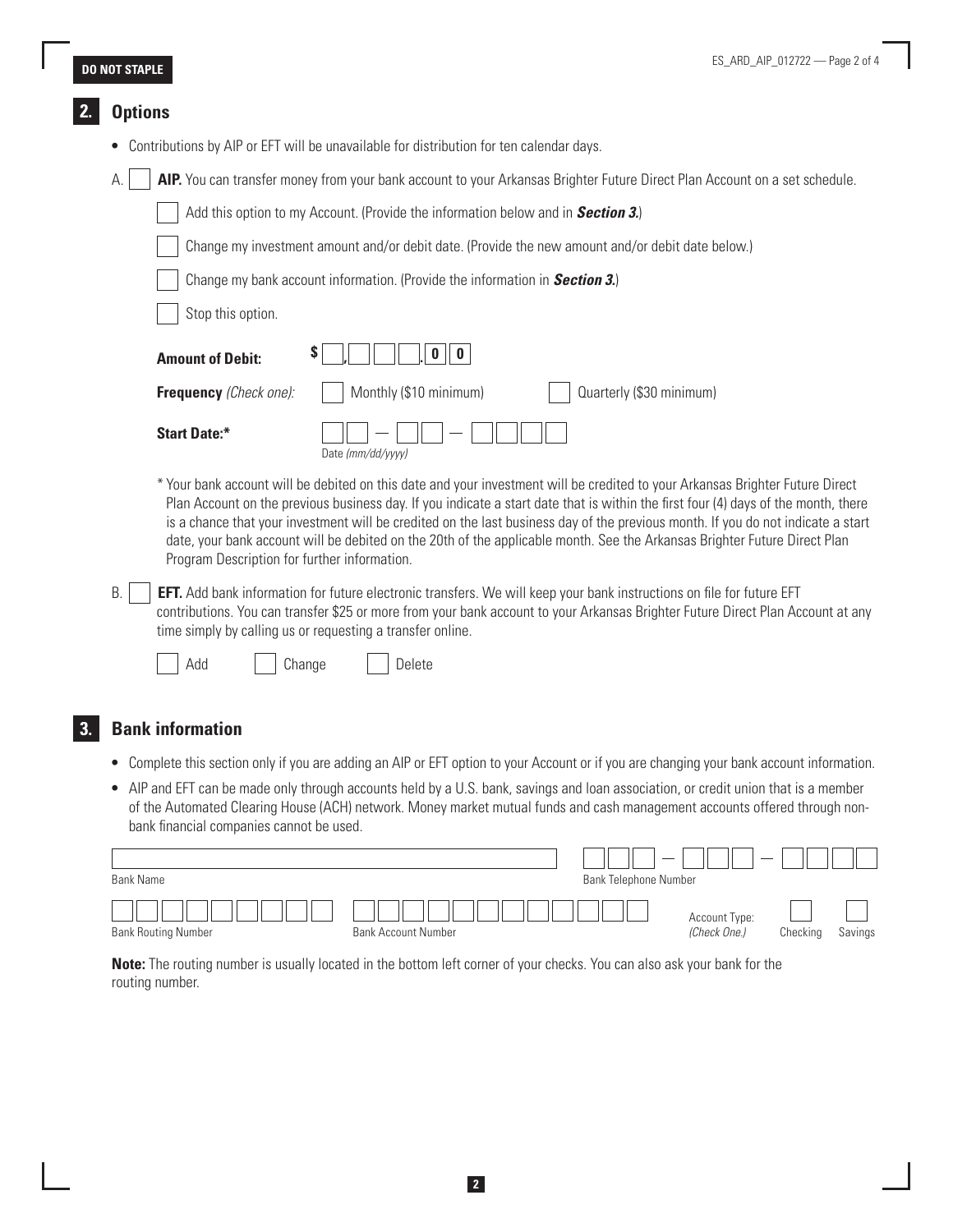|    | <b>Options</b>                                                                                                                                                                                                                                                                                                                                                                                                                   |                                                                                                                                                                                                                                                                                                                                                                                                                                                                                                                                                                                      |  |  |  |  |  |
|----|----------------------------------------------------------------------------------------------------------------------------------------------------------------------------------------------------------------------------------------------------------------------------------------------------------------------------------------------------------------------------------------------------------------------------------|--------------------------------------------------------------------------------------------------------------------------------------------------------------------------------------------------------------------------------------------------------------------------------------------------------------------------------------------------------------------------------------------------------------------------------------------------------------------------------------------------------------------------------------------------------------------------------------|--|--|--|--|--|
|    | Contributions by AIP or EFT will be unavailable for distribution for ten calendar days.<br>$\bullet$<br>AIP. You can transfer money from your bank account to your Arkansas Brighter Future Direct Plan Account on a set schedule.<br>А.<br>Add this option to my Account. (Provide the information below and in Section 3.)<br>Change my investment amount and/or debit date. (Provide the new amount and/or debit date below.) |                                                                                                                                                                                                                                                                                                                                                                                                                                                                                                                                                                                      |  |  |  |  |  |
|    |                                                                                                                                                                                                                                                                                                                                                                                                                                  |                                                                                                                                                                                                                                                                                                                                                                                                                                                                                                                                                                                      |  |  |  |  |  |
|    |                                                                                                                                                                                                                                                                                                                                                                                                                                  |                                                                                                                                                                                                                                                                                                                                                                                                                                                                                                                                                                                      |  |  |  |  |  |
|    |                                                                                                                                                                                                                                                                                                                                                                                                                                  |                                                                                                                                                                                                                                                                                                                                                                                                                                                                                                                                                                                      |  |  |  |  |  |
|    |                                                                                                                                                                                                                                                                                                                                                                                                                                  | Change my bank account information. (Provide the information in Section 3.)                                                                                                                                                                                                                                                                                                                                                                                                                                                                                                          |  |  |  |  |  |
|    | Stop this option.<br>S<br>$\mathbf 0$<br>$\bf{0}$<br><b>Amount of Debit:</b>                                                                                                                                                                                                                                                                                                                                                     |                                                                                                                                                                                                                                                                                                                                                                                                                                                                                                                                                                                      |  |  |  |  |  |
|    |                                                                                                                                                                                                                                                                                                                                                                                                                                  |                                                                                                                                                                                                                                                                                                                                                                                                                                                                                                                                                                                      |  |  |  |  |  |
|    | Frequency (Check one):                                                                                                                                                                                                                                                                                                                                                                                                           | Monthly (\$10 minimum)<br>Quarterly (\$30 minimum)                                                                                                                                                                                                                                                                                                                                                                                                                                                                                                                                   |  |  |  |  |  |
|    | <b>Start Date:*</b>                                                                                                                                                                                                                                                                                                                                                                                                              | Date (mm/dd/yyyy)                                                                                                                                                                                                                                                                                                                                                                                                                                                                                                                                                                    |  |  |  |  |  |
|    |                                                                                                                                                                                                                                                                                                                                                                                                                                  | * Your bank account will be debited on this date and your investment will be credited to your Arkansas Brighter Future Direct<br>Plan Account on the previous business day. If you indicate a start date that is within the first four (4) days of the month, there<br>is a chance that your investment will be credited on the last business day of the previous month. If you do not indicate a start<br>date, your bank account will be debited on the 20th of the applicable month. See the Arkansas Brighter Future Direct Plan<br>Program Description for further information. |  |  |  |  |  |
|    | Β.<br>EFT. Add bank information for future electronic transfers. We will keep your bank instructions on file for future EFT<br>contributions. You can transfer \$25 or more from your bank account to your Arkansas Brighter Future Direct Plan Account at any<br>time simply by calling us or requesting a transfer online.                                                                                                     |                                                                                                                                                                                                                                                                                                                                                                                                                                                                                                                                                                                      |  |  |  |  |  |
|    | Add<br>Change                                                                                                                                                                                                                                                                                                                                                                                                                    | Delete                                                                                                                                                                                                                                                                                                                                                                                                                                                                                                                                                                               |  |  |  |  |  |
|    |                                                                                                                                                                                                                                                                                                                                                                                                                                  |                                                                                                                                                                                                                                                                                                                                                                                                                                                                                                                                                                                      |  |  |  |  |  |
| 3. | <b>Bank information</b>                                                                                                                                                                                                                                                                                                                                                                                                          |                                                                                                                                                                                                                                                                                                                                                                                                                                                                                                                                                                                      |  |  |  |  |  |

- Complete this section only if you are adding an AIP or EFT option to your Account or if you are changing your bank account information.
- AIP and EFT can be made only through accounts held by a U.S. bank, savings and loan association, or credit union that is a member of the Automated Clearing House (ACH) network. Money market mutual funds and cash management accounts offered through nonbank financial companies cannot be used.

| Bank Name                  |                            | $\overline{\phantom{a}}$<br><b>Bank Telephone Number</b> | $\overline{\phantom{a}}$      |          |         |
|----------------------------|----------------------------|----------------------------------------------------------|-------------------------------|----------|---------|
| <b>Bank Routing Number</b> | <b>Bank Account Number</b> |                                                          | Account Type:<br>(Check One.) | Checking | Savings |

**Note:** The routing number is usually located in the bottom left corner of your checks. You can also ask your bank for the routing number.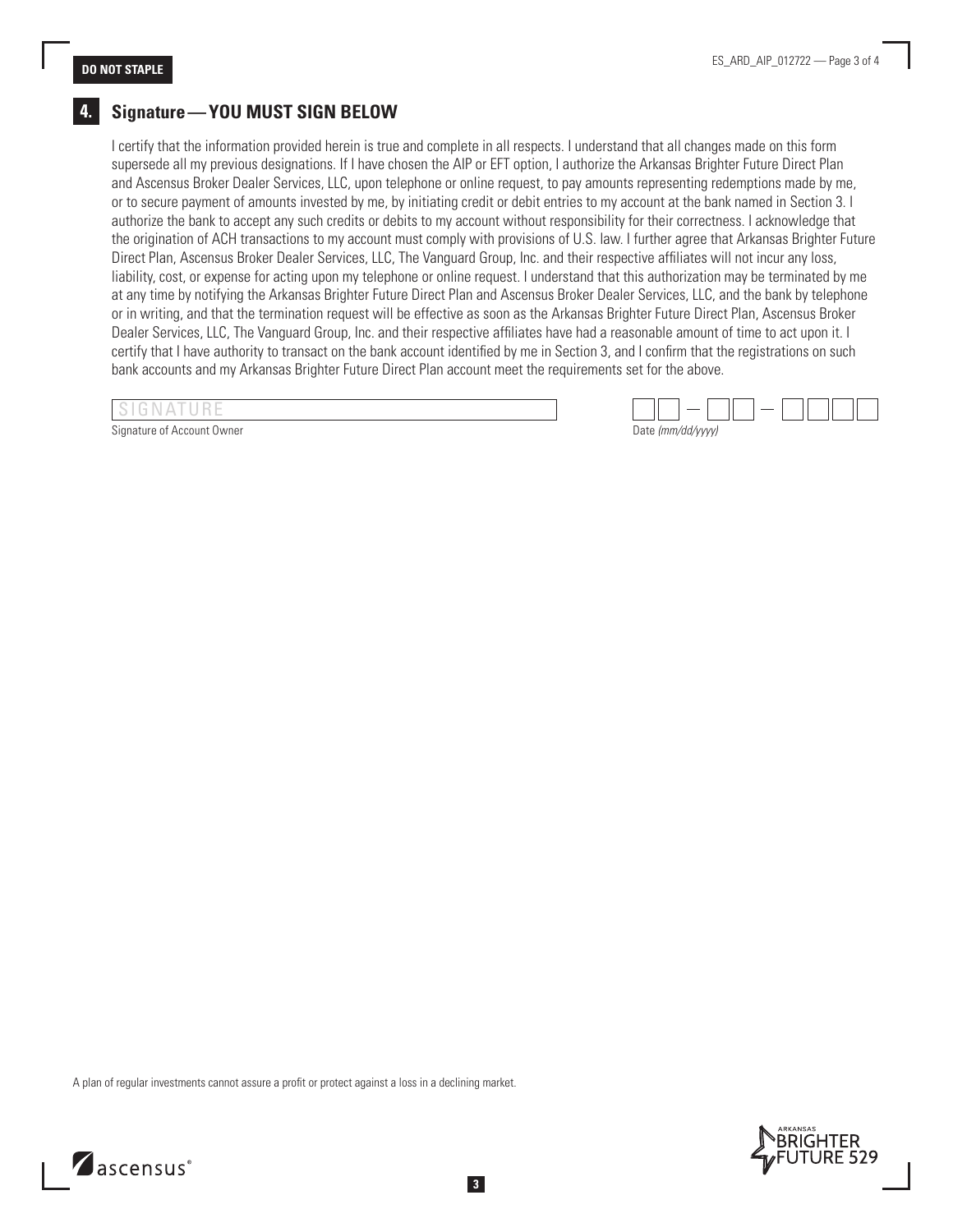### **4. Signature—YOU MUST SIGN BELOW**

I certify that the information provided herein is true and complete in all respects. I understand that all changes made on this form supersede all my previous designations. If I have chosen the AIP or EFT option, I authorize the Arkansas Brighter Future Direct Plan and Ascensus Broker Dealer Services, LLC, upon telephone or online request, to pay amounts representing redemptions made by me, or to secure payment of amounts invested by me, by initiating credit or debit entries to my account at the bank named in Section 3. I authorize the bank to accept any such credits or debits to my account without responsibility for their correctness. I acknowledge that the origination of ACH transactions to my account must comply with provisions of U.S. law. I further agree that Arkansas Brighter Future Direct Plan, Ascensus Broker Dealer Services, LLC, The Vanguard Group, Inc. and their respective affiliates will not incur any loss, liability, cost, or expense for acting upon my telephone or online request. I understand that this authorization may be terminated by me at any time by notifying the Arkansas Brighter Future Direct Plan and Ascensus Broker Dealer Services, LLC, and the bank by telephone or in writing, and that the termination request will be effective as soon as the Arkansas Brighter Future Direct Plan, Ascensus Broker Dealer Services, LLC, The Vanguard Group, Inc. and their respective affiliates have had a reasonable amount of time to act upon it. I certify that I have authority to transact on the bank account identified by me in Section 3, and I confirm that the registrations on such bank accounts and my Arkansas Brighter Future Direct Plan account meet the requirements set for the above.

SIGNATURI

Signature of Account Owner

| Date (mm/dd/yyyy) |  |  |
|-------------------|--|--|

A plan of regular investments cannot assure a profit or protect against a loss in a declining market.